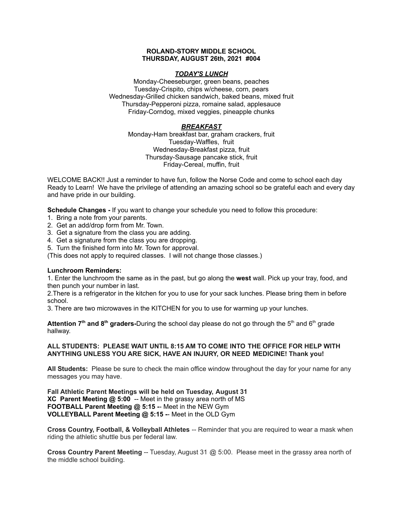### **ROLAND-STORY MIDDLE SCHOOL THURSDAY, AUGUST 26th, 2021 #004**

# *TODAY'S LUNCH*

Monday-Cheeseburger, green beans, peaches Tuesday-Crispito, chips w/cheese, corn, pears Wednesday-Grilled chicken sandwich, baked beans, mixed fruit Thursday-Pepperoni pizza, romaine salad, applesauce Friday-Corndog, mixed veggies, pineapple chunks

# *BREAKFAST*

Monday-Ham breakfast bar, graham crackers, fruit Tuesday-Waffles, fruit Wednesday-Breakfast pizza, fruit Thursday-Sausage pancake stick, fruit Friday-Cereal, muffin, fruit

WELCOME BACK!! Just a reminder to have fun, follow the Norse Code and come to school each day Ready to Learn! We have the privilege of attending an amazing school so be grateful each and every day and have pride in our building.

**Schedule Changes -** If you want to change your schedule you need to follow this procedure:

- 1. Bring a note from your parents.
- 2. Get an add/drop form from Mr. Town.
- 3. Get a signature from the class you are adding.
- 4. Get a signature from the class you are dropping.
- 5. Turn the finished form into Mr. Town for approval.

(This does not apply to required classes. I will not change those classes.)

### **Lunchroom Reminders:**

1. Enter the lunchroom the same as in the past, but go along the **west** wall. Pick up your tray, food, and then punch your number in last.

2.There is a refrigerator in the kitchen for you to use for your sack lunches. Please bring them in before school.

3. There are two microwaves in the KITCHEN for you to use for warming up your lunches.

**Attention 7<sup>th</sup> and 8<sup>th</sup> graders-During the school day please do not go through the 5<sup>th</sup> and 6<sup>th</sup> grade** hallway.

# **ALL STUDENTS: PLEASE WAIT UNTIL 8:15 AM TO COME INTO THE OFFICE FOR HELP WITH ANYTHING UNLESS YOU ARE SICK, HAVE AN INJURY, OR NEED MEDICINE! Thank you!**

**All Students:** Please be sure to check the main office window throughout the day for your name for any messages you may have.

**Fall Athletic Parent Meetings will be held on Tuesday, August 31 XC Parent Meeting @ 5:00** -- Meet in the grassy area north of MS **FOOTBALL Parent Meeting @ 5:15 -**- Meet in the NEW Gym **VOLLEYBALL Parent Meeting @ 5:15 -**- Meet in the OLD Gym

**Cross Country, Football, & Volleyball Athletes** -- Reminder that you are required to wear a mask when riding the athletic shuttle bus per federal law.

**Cross Country Parent Meeting** -- Tuesday, August 31 @ 5:00. Please meet in the grassy area north of the middle school building.